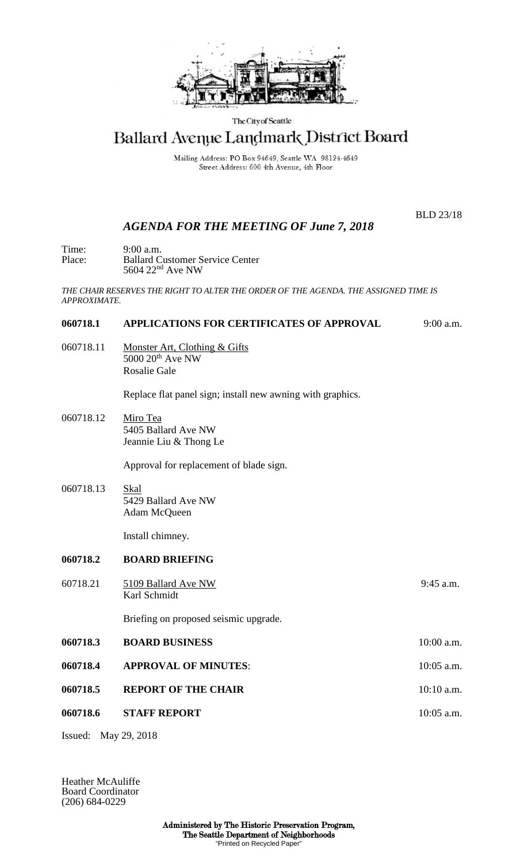

The City of Seattle

# Ballard Avenue Landmark District Board

Mailing Address: PO Box 94649, Seattle WA 98124-4649 Street Address: 600 4th Avenue, 4th Floor

## *AGENDA FOR THE MEETING OF June 7, 2018*

BLD 23/18

Time: 9:00 a.m.<br>Place: Ballard C Place: Ballard Customer Service Center  $5604$   $22<sup>nd</sup>$  Ave NW

*THE CHAIR RESERVES THE RIGHT TO ALTER THE ORDER OF THE AGENDA. THE ASSIGNED TIME IS APPROXIMATE.*

## **060718.1 APPLICATIONS FOR CERTIFICATES OF APPROVAL** 9:00 a.m.

060718.11 Monster Art, Clothing & Gifts  $5000 20$ <sup>th</sup> Ave NW Rosalie Gale

Replace flat panel sign; install new awning with graphics.

060718.12 Miro Tea 5405 Ballard Ave NW Jeannie Liu & Thong Le

Approval for replacement of blade sign.

060718.13 Skal 5429 Ballard Ave NW Adam McQueen

Install chimney.

### **060718.2 BOARD BRIEFING**

60718.21 5109 Ballard Ave NW 9:45 a.m. Karl Schmidt Briefing on proposed seismic upgrade. **060718.3 BOARD BUSINESS** 10:00 a.m. **060718.4 •• APPROVAL OF MINUTES:** 10:05 a.m. **060718.5 REPORT OF THE CHAIR 10:10 a.m. 060718.6 STAFF REPORT** 10:05 a.m.

Issued: May 29, 2018

Heather McAuliffe Board Coordinator (206) 684-0229